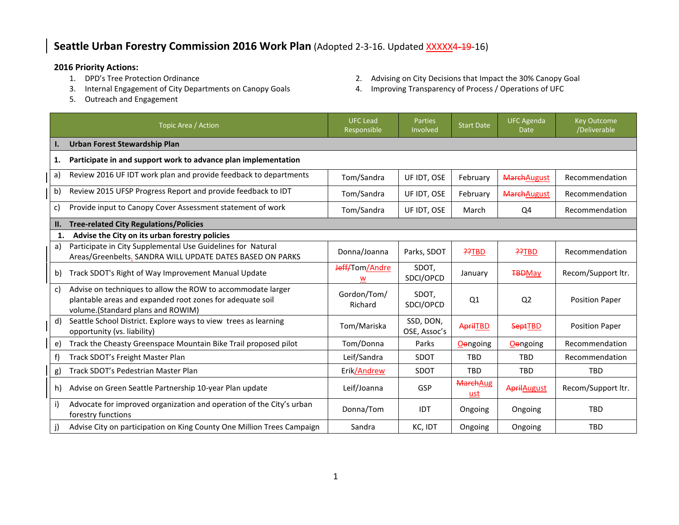## **Seattle Urban Forestry Commission 2016 Work Plan** (Adopted 2-3-16. Updated XXXXX4-19-16)

- **2016 Priority Actions:**
	-
	- 5. Outreach and Engagement
- 2. Advising on City Decisions that Impact the 30% Canopy Goal
- 3. Internal Engagement of City Departments on Canopy Goals 4. Improving Transparency of Process / Operations of UFC

|     | Topic Area / Action                                                                                                                                           | <b>UFC Lead</b><br>Responsible | <b>Parties</b><br>Involved | <b>Start Date</b>      | <b>UFC Agenda</b><br><b>Date</b> | <b>Key Outcome</b><br>/Deliverable |  |  |
|-----|---------------------------------------------------------------------------------------------------------------------------------------------------------------|--------------------------------|----------------------------|------------------------|----------------------------------|------------------------------------|--|--|
| ı.  | Urban Forest Stewardship Plan                                                                                                                                 |                                |                            |                        |                                  |                                    |  |  |
| 1.  | Participate in and support work to advance plan implementation                                                                                                |                                |                            |                        |                                  |                                    |  |  |
| a)  | Review 2016 UF IDT work plan and provide feedback to departments                                                                                              | Tom/Sandra                     | UF IDT, OSE                | February               | <b>MarchAugust</b>               | Recommendation                     |  |  |
| b)  | Review 2015 UFSP Progress Report and provide feedback to IDT                                                                                                  | Tom/Sandra                     | UF IDT, OSE                | February               | <b>MarchAugust</b>               | Recommendation                     |  |  |
| c)  | Provide input to Canopy Cover Assessment statement of work                                                                                                    | Tom/Sandra                     | UF IDT, OSE                | March                  | Q4                               | Recommendation                     |  |  |
| II. | <b>Tree-related City Regulations/Policies</b>                                                                                                                 |                                |                            |                        |                                  |                                    |  |  |
| 1.  | Advise the City on its urban forestry policies                                                                                                                |                                |                            |                        |                                  |                                    |  |  |
| a)  | Participate in City Supplemental Use Guidelines for Natural<br>Areas/Greenbelts. SANDRA WILL UPDATE DATES BASED ON PARKS                                      | Donna/Joanna                   | Parks, SDOT                | ??TBD                  | ??TBD                            | Recommendation                     |  |  |
| b)  | Track SDOT's Right of Way Improvement Manual Update                                                                                                           | Jeff/Tom/Andre                 | SDOT.<br>SDCI/OPCD         | January                | <b>TBDMay</b>                    | Recom/Support ltr.                 |  |  |
| c)  | Advise on techniques to allow the ROW to accommodate larger<br>plantable areas and expanded root zones for adequate soil<br>volume.(Standard plans and ROWIM) | Gordon/Tom/<br>Richard         | SDOT.<br>SDCI/OPCD         | Q1                     | Q <sub>2</sub>                   | <b>Position Paper</b>              |  |  |
| d)  | Seattle School District. Explore ways to view trees as learning<br>opportunity (vs. liability)                                                                | Tom/Mariska                    | SSD, DON,<br>OSE, Assoc's  | <b>AprilTBD</b>        | <b>SeptTBD</b>                   | <b>Position Paper</b>              |  |  |
| e)  | Track the Cheasty Greenspace Mountain Bike Trail proposed pilot                                                                                               | Tom/Donna                      | Parks                      | Oengoing               | <b>O</b> ongoing                 | Recommendation                     |  |  |
| f)  | Track SDOT's Freight Master Plan                                                                                                                              | Leif/Sandra                    | <b>SDOT</b>                | <b>TBD</b>             | <b>TBD</b>                       | Recommendation                     |  |  |
| g)  | Track SDOT's Pedestrian Master Plan                                                                                                                           | Erik/Andrew                    | <b>SDOT</b>                | <b>TBD</b>             | <b>TBD</b>                       | <b>TBD</b>                         |  |  |
| h)  | Advise on Green Seattle Partnership 10-year Plan update                                                                                                       | Leif/Joanna                    | GSP                        | <b>MarchAug</b><br>ust | <b>April</b> August              | Recom/Support ltr.                 |  |  |
| i)  | Advocate for improved organization and operation of the City's urban<br>forestry functions                                                                    | Donna/Tom                      | <b>IDT</b>                 | Ongoing                | Ongoing                          | <b>TBD</b>                         |  |  |
| j)  | Advise City on participation on King County One Million Trees Campaign                                                                                        | Sandra                         | KC, IDT                    | Ongoing                | Ongoing                          | <b>TBD</b>                         |  |  |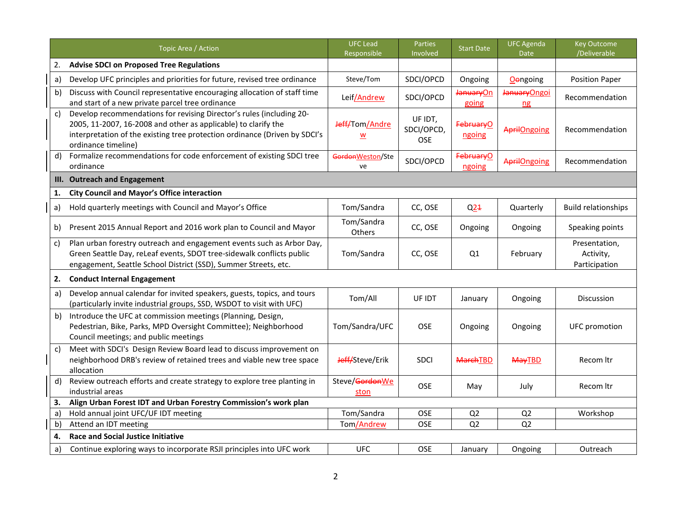|    | Topic Area / Action                                                                                                                                                                                                                         | <b>UFC Lead</b><br>Responsible      | <b>Parties</b><br>Involved          | <b>Start Date</b>               | <b>UFC Agenda</b><br><b>Date</b> | <b>Key Outcome</b><br>/Deliverable          |
|----|---------------------------------------------------------------------------------------------------------------------------------------------------------------------------------------------------------------------------------------------|-------------------------------------|-------------------------------------|---------------------------------|----------------------------------|---------------------------------------------|
| 2. | <b>Advise SDCI on Proposed Tree Regulations</b>                                                                                                                                                                                             |                                     |                                     |                                 |                                  |                                             |
| a) | Develop UFC principles and priorities for future, revised tree ordinance                                                                                                                                                                    | Steve/Tom                           | SDCI/OPCD                           | Ongoing                         | <b>O</b> engoing                 | <b>Position Paper</b>                       |
| b) | Discuss with Council representative encouraging allocation of staff time<br>and start of a new private parcel tree ordinance                                                                                                                | Leif/Andrew                         | SDCI/OPCD                           | JanuaryOn<br>going              | JanuaryOngoi<br>$n$ g            | Recommendation                              |
| c) | Develop recommendations for revising Director's rules (including 20-<br>2005, 11-2007, 16-2008 and other as applicable) to clarify the<br>interpretation of the existing tree protection ordinance (Driven by SDCI's<br>ordinance timeline) | Jeff/Tom/Andre<br><u>w</u>          | UF IDT,<br>SDCI/OPCD,<br><b>OSE</b> | February <sup>O</sup><br>ngoing | <b>AprilOngoing</b>              | Recommendation                              |
| d) | Formalize recommendations for code enforcement of existing SDCI tree<br>ordinance                                                                                                                                                           | GordonWeston/Ste<br>ve              | SDCI/OPCD                           | <b>FebruaryO</b><br>ngoing      | <b>April Ongoing</b>             | Recommendation                              |
|    | III. Outreach and Engagement                                                                                                                                                                                                                |                                     |                                     |                                 |                                  |                                             |
| 1. | <b>City Council and Mayor's Office interaction</b>                                                                                                                                                                                          |                                     |                                     |                                 |                                  |                                             |
| a) | Hold quarterly meetings with Council and Mayor's Office                                                                                                                                                                                     | Tom/Sandra                          | CC, OSE                             | Q <sub>21</sub>                 | Quarterly                        | <b>Build relationships</b>                  |
| b) | Present 2015 Annual Report and 2016 work plan to Council and Mayor                                                                                                                                                                          | Tom/Sandra<br>Others                | CC, OSE                             | Ongoing                         | Ongoing                          | Speaking points                             |
| C) | Plan urban forestry outreach and engagement events such as Arbor Day,<br>Green Seattle Day, reLeaf events, SDOT tree-sidewalk conflicts public<br>engagement, Seattle School District (SSD), Summer Streets, etc.                           | Tom/Sandra                          | CC, OSE                             | Q1                              | February                         | Presentation,<br>Activity,<br>Participation |
| 2. | <b>Conduct Internal Engagement</b>                                                                                                                                                                                                          |                                     |                                     |                                 |                                  |                                             |
| a) | Develop annual calendar for invited speakers, guests, topics, and tours<br>(particularly invite industrial groups, SSD, WSDOT to visit with UFC)                                                                                            | Tom/All                             | UF IDT                              | January                         | Ongoing                          | <b>Discussion</b>                           |
| b) | Introduce the UFC at commission meetings (Planning, Design,<br>Pedestrian, Bike, Parks, MPD Oversight Committee); Neighborhood<br>Council meetings; and public meetings                                                                     | Tom/Sandra/UFC                      | <b>OSE</b>                          | Ongoing                         | Ongoing                          | <b>UFC</b> promotion                        |
| c) | Meet with SDCI's Design Review Board lead to discuss improvement on<br>neighborhood DRB's review of retained trees and viable new tree space<br>allocation                                                                                  | Jeff/Steve/Erik                     | <b>SDCI</b>                         | <b>MarchTBD</b>                 | <b>MayTBD</b>                    | Recom Itr                                   |
| d) | Review outreach efforts and create strategy to explore tree planting in<br>industrial areas                                                                                                                                                 | Steve/ <del>Gordon</del> We<br>ston | <b>OSE</b>                          | May                             | July                             | Recom Itr                                   |
| З. | Align Urban Forest IDT and Urban Forestry Commission's work plan                                                                                                                                                                            |                                     |                                     |                                 |                                  |                                             |
| a) | Hold annual joint UFC/UF IDT meeting                                                                                                                                                                                                        | Tom/Sandra                          | OSE                                 | Q <sub>2</sub>                  | Q <sub>2</sub>                   | Workshop                                    |
| b) | Attend an IDT meeting                                                                                                                                                                                                                       | Tom/Andrew                          | <b>OSE</b>                          | Q <sub>2</sub>                  | Q2                               |                                             |
| 4. | <b>Race and Social Justice Initiative</b>                                                                                                                                                                                                   |                                     |                                     |                                 |                                  |                                             |
| a) | Continue exploring ways to incorporate RSJI principles into UFC work                                                                                                                                                                        | <b>UFC</b>                          | OSE                                 | January                         | Ongoing                          | Outreach                                    |